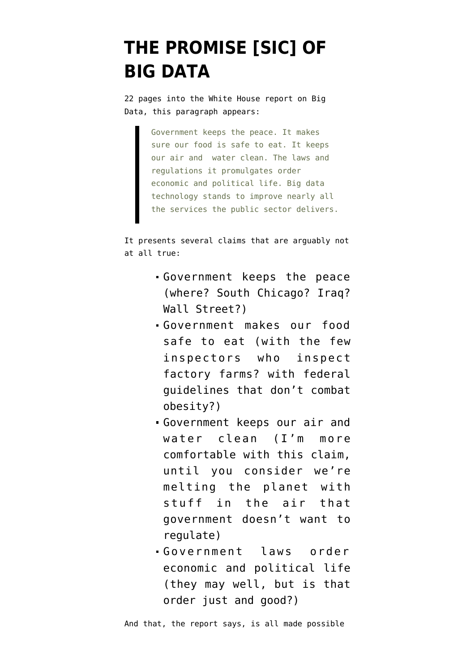## **[THE PROMISE \[SIC\] OF](https://www.emptywheel.net/2014/05/01/the-promise-sic-of-big-data/) [BIG DATA](https://www.emptywheel.net/2014/05/01/the-promise-sic-of-big-data/)**

22 pages into the White House [report](http://www.whitehouse.gov/sites/default/files/docs/big_data_privacy_report_may_1_2014.pdf) on Big Data, this paragraph appears:

> Government keeps the peace. It makes sure our food is safe to eat. It keeps our air and water clean. The laws and regulations it promulgates order economic and political life. Big data technology stands to improve nearly all the services the public sector delivers.

It presents several claims that are arguably not at all true:

- Government keeps the peace (where? South Chicago? Iraq? Wall Street?)
- Government makes our food safe to eat (with the few inspectors who inspect factory farms? with federal guidelines that don't combat obesity?)
- Government keeps our air and water clean (I'm more comfortable with this claim, until you consider we're melting the planet with stuff in the air that government doesn't want to regulate)
- Government laws order economic and political life (they may well, but is that order just and good?)

And that, the report says, is all made possible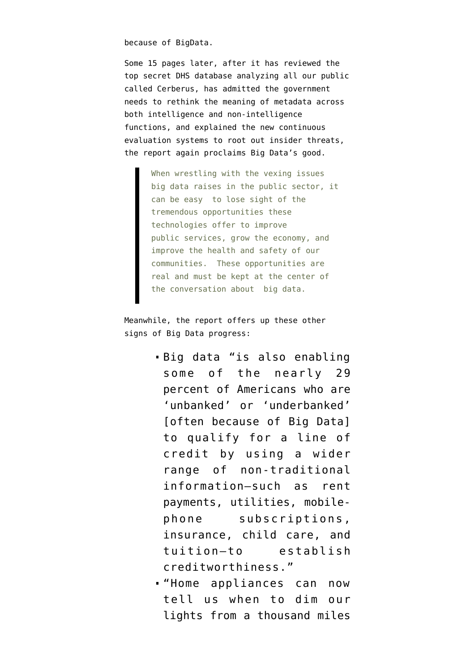because of BigData.

Some 15 pages later, after it has reviewed the top secret DHS database analyzing all our public called Cerberus, has admitted the government needs to rethink the meaning of metadata across both intelligence and non-intelligence functions, and explained the new continuous evaluation systems to root out insider threats, the report again proclaims Big Data's good.

> When wrestling with the vexing issues big data raises in the public sector, it can be easy to lose sight of the tremendous opportunities these technologies offer to improve public services, grow the economy, and improve the health and safety of our communities. These opportunities are real and must be kept at the center of the conversation about big data.

Meanwhile, the report offers up these other signs of Big Data progress:

- Big data "is also enabling some of the nearly 29 percent of Americans who are 'unbanked' or 'underbanked' [often because of Big Data] to qualify for a line of credit by using a wider range of non-traditional information—such as rent payments, utilities, mobilephone subscriptions, insurance, child care, and tuition—to establish creditworthiness."
- "Home appliances can now tell us when to dim our lights from a thousand miles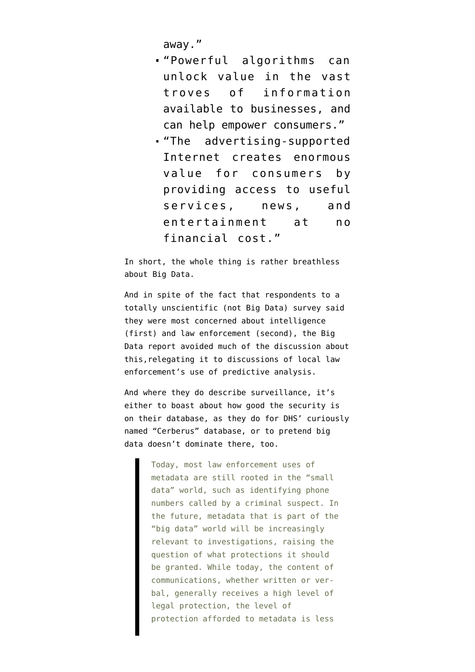away."

- "Powerful algorithms can unlock value in the vast troves of information available to businesses, and can help empower consumers."
- "The advertising-supported Internet creates enormous value for consumers by providing access to useful services, news, and entertainment at no financial cost."

In short, the whole thing is rather breathless about Big Data.

And in spite of the fact that respondents to a totally unscientific (not Big Data) survey said they were most concerned about intelligence (first) and law enforcement (second), the Big Data report avoided much of the discussion about this,relegating it to discussions of local law enforcement's use of predictive analysis.

And where they do describe surveillance, it's either to boast about how good the security is on their database, as they do for DHS' curiously named "Cerberus" database, or to pretend big data doesn't dominate there, too.

> Today, most law enforcement uses of metadata are still rooted in the "small data" world, such as identifying phone numbers called by a criminal suspect. In the future, metadata that is part of the "big data" world will be increasingly relevant to investigations, raising the question of what protections it should be granted. While today, the content of communications, whether written or verbal, generally receives a high level of legal protection, the level of protection afforded to metadata is less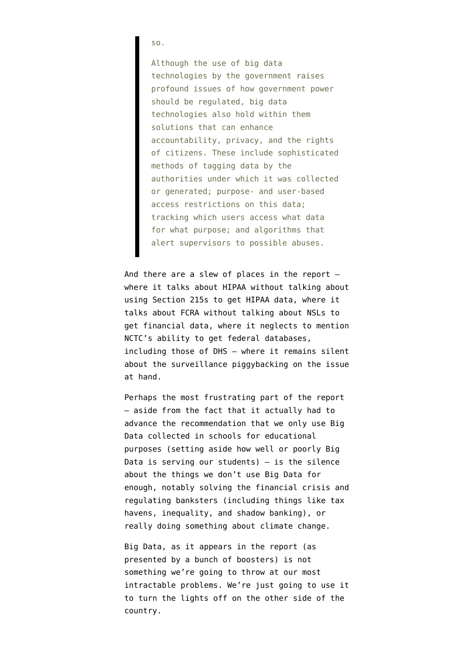so.

Although the use of big data technologies by the government raises profound issues of how government power should be regulated, big data technologies also hold within them solutions that can enhance accountability, privacy, and the rights of citizens. These include sophisticated methods of tagging data by the authorities under which it was collected or generated; purpose- and user-based access restrictions on this data; tracking which users access what data for what purpose; and algorithms that alert supervisors to possible abuses.

And there are a slew of places in the report where it talks about HIPAA without talking about using Section 215s to get HIPAA data, where it talks about FCRA without talking about NSLs to get financial data, where it neglects to mention NCTC's ability to get federal databases, including those of DHS — where it remains silent about the surveillance piggybacking on the issue at hand.

Perhaps the most frustrating part of the report — aside from the fact that it actually had to advance the recommendation that we only use Big Data collected in schools for educational purposes (setting aside how well or poorly Big Data is serving our students)  $-$  is the silence about the things we don't use Big Data for enough, notably solving the financial crisis and regulating banksters (including things like tax havens, inequality, and shadow banking), or really doing something about climate change.

Big Data, as it appears in the report (as presented by a bunch of boosters) is not something we're going to throw at our most intractable problems. We're just going to use it to turn the lights off on the other side of the country.